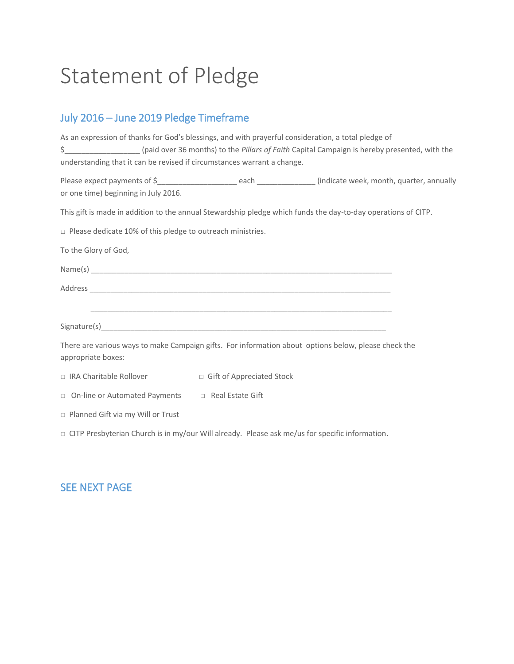# Statement of Pledge

## July 2016 – June 2019 Pledge Timeframe

| As an expression of thanks for God's blessings, and with prayerful consideration, a total pledge of                        |                                                                                                                     |
|----------------------------------------------------------------------------------------------------------------------------|---------------------------------------------------------------------------------------------------------------------|
|                                                                                                                            | (paid over 36 months) to the Pillars of Faith Capital Campaign is hereby presented, with the                        |
| understanding that it can be revised if circumstances warrant a change.                                                    |                                                                                                                     |
|                                                                                                                            | Please expect payments of \$__________________________each ________________(indicate week, month, quarter, annually |
| or one time) beginning in July 2016.                                                                                       |                                                                                                                     |
|                                                                                                                            | This gift is made in addition to the annual Stewardship pledge which funds the day-to-day operations of CITP.       |
| $\Box$ Please dedicate 10% of this pledge to outreach ministries.                                                          |                                                                                                                     |
| To the Glory of God,                                                                                                       |                                                                                                                     |
|                                                                                                                            |                                                                                                                     |
|                                                                                                                            |                                                                                                                     |
|                                                                                                                            |                                                                                                                     |
|                                                                                                                            |                                                                                                                     |
| There are various ways to make Campaign gifts. For information about options below, please check the<br>appropriate boxes: |                                                                                                                     |
| □ IRA Charitable Rollover □ Gift of Appreciated Stock                                                                      |                                                                                                                     |
| □ On-line or Automated Payments □ Real Estate Gift                                                                         |                                                                                                                     |
| □ Planned Gift via my Will or Trust                                                                                        |                                                                                                                     |
| $\Box$ CITP Presbyterian Church is in my/our Will already. Please ask me/us for specific information.                      |                                                                                                                     |
|                                                                                                                            |                                                                                                                     |

#### SEE NEXT PAGE